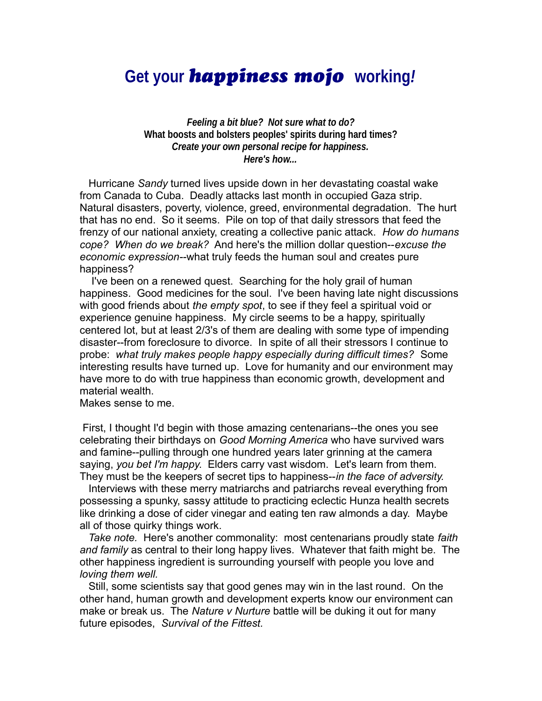# **Get your** *happiness mojo* **working***!*

 *Feeling a bit blue? Not sure what to do?* **What boosts and bolsters peoples' spirits during hard times?** *Create your own personal recipe for happiness. Here's how...*

 Hurricane *Sandy* turned lives upside down in her devastating coastal wake from Canada to Cuba. Deadly attacks last month in occupied Gaza strip. Natural disasters, poverty, violence, greed, environmental degradation. The hurt that has no end. So it seems. Pile on top of that daily stressors that feed the frenzy of our national anxiety, creating a collective panic attack. *How do humans cope? When do we break?* And here's the million dollar question--*excuse the economic expression--*what truly feeds the human soul and creates pure happiness?

 I've been on a renewed quest. Searching for the holy grail of human happiness. Good medicines for the soul. I've been having late night discussions with good friends about *the empty spot*, to see if they feel a spiritual void or experience genuine happiness. My circle seems to be a happy, spiritually centered lot, but at least 2/3's of them are dealing with some type of impending disaster--from foreclosure to divorce. In spite of all their stressors I continue to probe: *what truly makes people happy especially during difficult times?* Some interesting results have turned up. Love for humanity and our environment may have more to do with true happiness than economic growth, development and material wealth.

Makes sense to me.

 First, I thought I'd begin with those amazing centenarians--the ones you see celebrating their birthdays on *Good Morning America* who have survived wars and famine--pulling through one hundred years later grinning at the camera saying, *you bet I'm happy*. Elders carry vast wisdom. Let's learn from them. They must be the keepers of secret tips to happiness--*in the face of adversity.* 

 Interviews with these merry matriarchs and patriarchs reveal everything from possessing a spunky, sassy attitude to practicing eclectic Hunza health secrets like drinking a dose of cider vinegar and eating ten raw almonds a day. Maybe all of those quirky things work.

 *Take note.* Here's another commonality: most centenarians proudly state *faith and family* as central to their long happy lives. Whatever that faith might be. The other happiness ingredient is surrounding yourself with people you love and *loving them well.*

 Still, some scientists say that good genes may win in the last round. On the other hand, human growth and development experts know our environment can make or break us. The *Nature v Nurture* battle will be duking it out for many future episodes, *Survival of the Fittest.*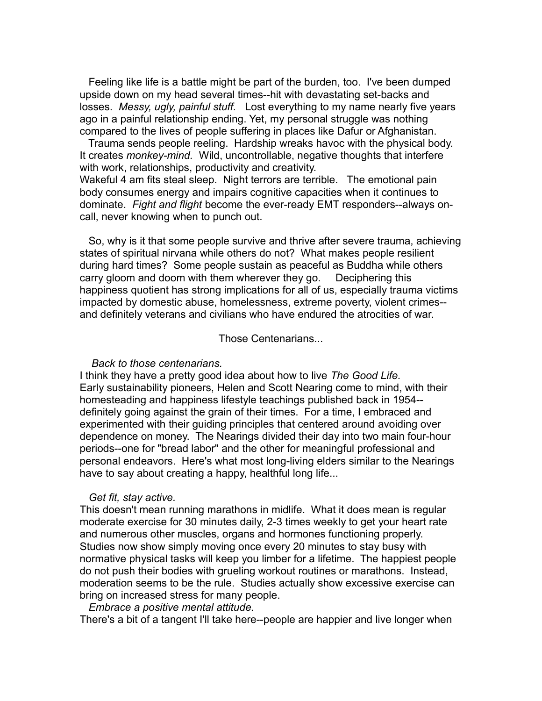Feeling like life is a battle might be part of the burden, too. I've been dumped upside down on my head several times--hit with devastating set-backs and losses. *Messy, ugly, painful stuff.* Lost everything to my name nearly five years ago in a painful relationship ending. Yet, my personal struggle was nothing compared to the lives of people suffering in places like Dafur or Afghanistan.

 Trauma sends people reeling. Hardship wreaks havoc with the physical body. It creates *monkey-mind.* Wild, uncontrollable, negative thoughts that interfere with work, relationships, productivity and creativity. Wakeful 4 am fits steal sleep. Night terrors are terrible. The emotional pain body consumes energy and impairs cognitive capacities when it continues to dominate. *Fight and flight* become the ever-ready EMT responders--always oncall, never knowing when to punch out.

 So, why is it that some people survive and thrive after severe trauma, achieving states of spiritual nirvana while others do not? What makes people resilient during hard times? Some people sustain as peaceful as Buddha while others carry gloom and doom with them wherever they go. Deciphering this happiness quotient has strong implications for all of us, especially trauma victims impacted by domestic abuse, homelessness, extreme poverty, violent crimes- and definitely veterans and civilians who have endured the atrocities of war.

Those Centenarians...

## *Back to those centenarians.*

I think they have a pretty good idea about how to live *The Good Life.*  Early sustainability pioneers, Helen and Scott Nearing come to mind, with their homesteading and happiness lifestyle teachings published back in 1954- definitely going against the grain of their times. For a time, I embraced and experimented with their guiding principles that centered around avoiding over dependence on money. The Nearings divided their day into two main four-hour periods--one for "bread labor" and the other for meaningful professional and personal endeavors. Here's what most long-living elders similar to the Nearings have to say about creating a happy, healthful long life...

## *Get fit, stay active.*

This doesn't mean running marathons in midlife. What it does mean is regular moderate exercise for 30 minutes daily, 2-3 times weekly to get your heart rate and numerous other muscles, organs and hormones functioning properly. Studies now show simply moving once every 20 minutes to stay busy with normative physical tasks will keep you limber for a lifetime. The happiest people do not push their bodies with grueling workout routines or marathons. Instead, moderation seems to be the rule. Studies actually show excessive exercise can bring on increased stress for many people.

## *Embrace a positive mental attitude.*

There's a bit of a tangent I'll take here--people are happier and live longer when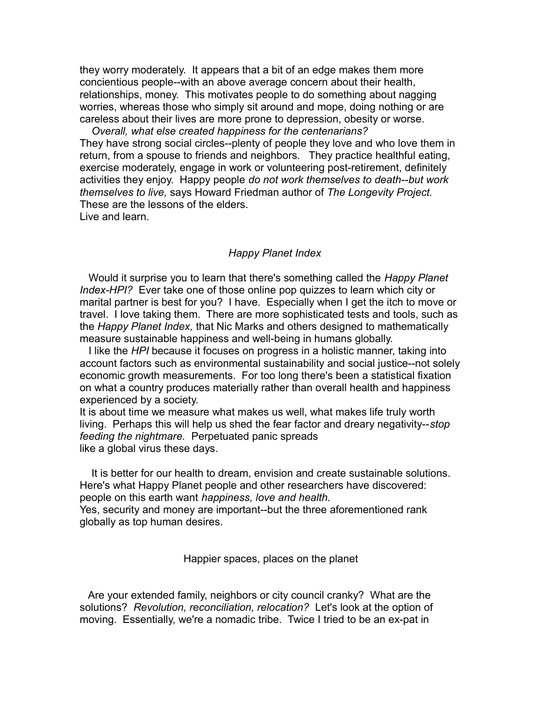they worry moderately. It appears that a bit of an edge makes them more concientious people--with an above average concern about their health, relationships, money. This motivates people to do something about nagging worries, whereas those who simply sit around and mope, doing nothing or are careless about their lives are more prone to depression, obesity or worse.

 *Overall, what else created happiness for the centenarians?* They have strong social circles--plenty of people they love and who love them in return, from a spouse to friends and neighbors. They practice healthful eating, exercise moderately, engage in work or volunteering post-retirement, definitely activities they enjoy. Happy people *do not work themselves to death*--*but work themselves to live,* says Howard Friedman author of *The Longevity Project.*  These are the lessons of the elders.

Live and learn.

## *Happy Planet Index*

Would it surprise you to learn that there's something called the *Happy Planet Index-HPI?* Ever take one of those online pop quizzes to learn which city or marital partner is best for you? I have. Especially when I get the itch to move or travel. I love taking them. There are more sophisticated tests and tools, such as the *Happy Planet Index,* that Nic Marks and others designed to mathematically measure sustainable happiness and well-being in humans globally.

 I like the *HPI* because it focuses on progress in a holistic manner, taking into account factors such as environmental sustainability and social justice--not solely economic growth measurements. For too long there's been a statistical fixation on what a country produces materially rather than overall health and happiness experienced by a society.

It is about time we measure what makes us well, what makes life truly worth living. Perhaps this will help us shed the fear factor and dreary negativity--*stop feeding the nightmare.* Perpetuated panic spreads like a global virus these days.

 It is better for our health to dream, envision and create sustainable solutions. Here's what Happy Planet people and other researchers have discovered: people on this earth want *happiness, love and health.*

Yes, security and money are important--but the three aforementioned rank globally as top human desires.

Happier spaces, places on the planet

 Are your extended family, neighbors or city council cranky? What are the solutions? *Revolution, reconciliation, relocation?* Let's look at the option of moving. Essentially, we're a nomadic tribe. Twice I tried to be an ex-pat in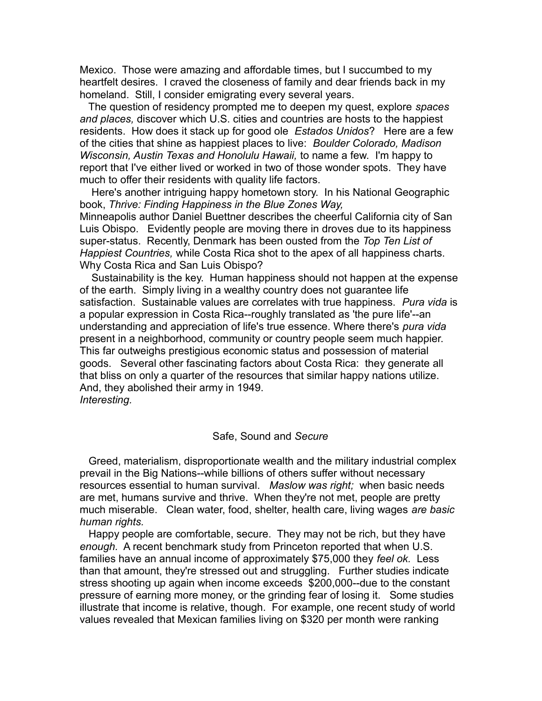Mexico. Those were amazing and affordable times, but I succumbed to my heartfelt desires. I craved the closeness of family and dear friends back in my homeland. Still, I consider emigrating every several years.

 The question of residency prompted me to deepen my quest, explore *spaces and places,* discover which U.S. cities and countries are hosts to the happiest residents. How does it stack up for good ole *Estados Unidos*? Here are a few of the cities that shine as happiest places to live: *Boulder Colorado, Madison Wisconsin, Austin Texas and Honolulu Hawaii,* to name a few.I'm happy to report that I've either lived or worked in two of those wonder spots. They have much to offer their residents with quality life factors.

 Here's another intriguing happy hometown story. In his National Geographic book, *Thrive: Finding Happiness in the Blue Zones Way,*

Minneapolis author Daniel Buettner describes the cheerful California city of San Luis Obispo. Evidently people are moving there in droves due to its happiness super-status. Recently, Denmark has been ousted from the *Top Ten List of Happiest Countries,* while Costa Rica shot to the apex of all happiness charts. Why Costa Rica and San Luis Obispo?

 Sustainability is the key. Human happiness should not happen at the expense of the earth. Simply living in a wealthy country does not guarantee life satisfaction. Sustainable values are correlates with true happiness. *Pura vida* is a popular expression in Costa Rica--roughly translated as 'the pure life'--an understanding and appreciation of life's true essence. Where there's *pura vida* present in a neighborhood, community or country people seem much happier. This far outweighs prestigious economic status and possession of material goods. Several other fascinating factors about Costa Rica: they generate all that bliss on only a quarter of the resources that similar happy nations utilize. And, they abolished their army in 1949. *Interesting.*

## Safe, Sound and *Secure*

 Greed, materialism, disproportionate wealth and the military industrial complex prevail in the Big Nations--while billions of others suffer without necessary resources essential to human survival. *Maslow was right;* when basic needs are met, humans survive and thrive. When they're not met, people are pretty much miserable. Clean water, food, shelter, health care, living wages *are basic human rights.* 

 Happy people are comfortable, secure. They may not be rich, but they have *enough.* A recent benchmark study from Princeton reported that when U.S. families have an annual income of approximately \$75,000 they *feel ok.* Less than that amount, they're stressed out and struggling. Further studies indicate stress shooting up again when income exceeds \$200,000--due to the constant pressure of earning more money, or the grinding fear of losing it. Some studies illustrate that income is relative, though. For example, one recent study of world values revealed that Mexican families living on \$320 per month were ranking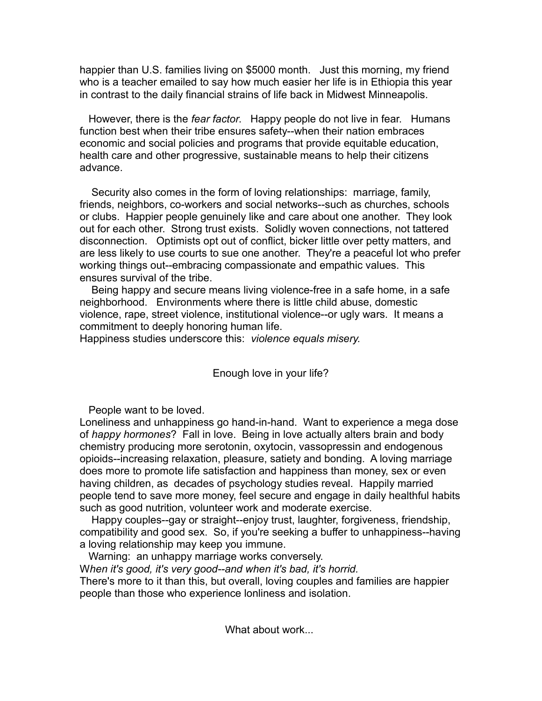happier than U.S. families living on \$5000 month. Just this morning, my friend who is a teacher emailed to say how much easier her life is in Ethiopia this year in contrast to the daily financial strains of life back in Midwest Minneapolis.

 However, there is the *fear factor*. Happy people do not live in fear. Humans function best when their tribe ensures safety--when their nation embraces economic and social policies and programs that provide equitable education, health care and other progressive, sustainable means to help their citizens advance.

 Security also comes in the form of loving relationships: marriage, family, friends, neighbors, co-workers and social networks--such as churches, schools or clubs. Happier people genuinely like and care about one another. They look out for each other. Strong trust exists. Solidly woven connections, not tattered disconnection. Optimists opt out of conflict, bicker little over petty matters, and are less likely to use courts to sue one another. They're a peaceful lot who prefer working things out--embracing compassionate and empathic values. This ensures survival of the tribe.

 Being happy and secure means living violence-free in a safe home, in a safe neighborhood. Environments where there is little child abuse, domestic violence, rape, street violence, institutional violence--or ugly wars. It means a commitment to deeply honoring human life.

Happiness studies underscore this: *violence equals misery.*

## Enough love in your life?

People want to be loved.

Loneliness and unhappiness go hand-in-hand. Want to experience a mega dose of *happy hormones*? Fall in love. Being in love actually alters brain and body chemistry producing more serotonin, oxytocin, vassopressin and endogenous opioids--increasing relaxation, pleasure, satiety and bonding. A loving marriage does more to promote life satisfaction and happiness than money, sex or even having children, as decades of psychology studies reveal. Happily married people tend to save more money, feel secure and engage in daily healthful habits such as good nutrition, volunteer work and moderate exercise.

 Happy couples--gay or straight--enjoy trust, laughter, forgiveness, friendship, compatibility and good sex. So, if you're seeking a buffer to unhappiness--having a loving relationship may keep you immune.

 Warning: an unhappy marriage works conversely. W*hen it's good, it's very good--and when it's bad, it's horrid.*  There's more to it than this, but overall, loving couples and families are happier people than those who experience lonliness and isolation.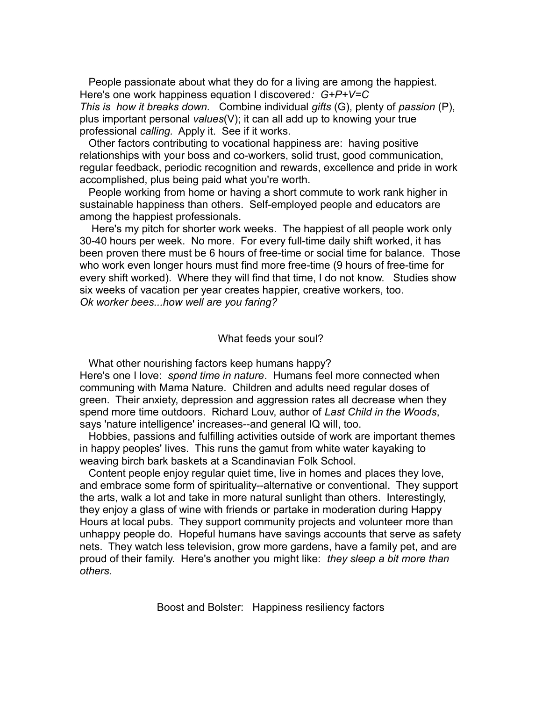People passionate about what they do for a living are among the happiest. Here's one work happiness equation I discovered*: G+P+V=C This is how it breaks down.* Combine individual *gifts* (G), plenty of *passion* (P), plus important personal *values*(V); it can all add up to knowing your true professional *calling.* Apply it. See if it works.

 Other factors contributing to vocational happiness are: having positive relationships with your boss and co-workers, solid trust, good communication, regular feedback, periodic recognition and rewards, excellence and pride in work accomplished, plus being paid what you're worth.

 People working from home or having a short commute to work rank higher in sustainable happiness than others. Self-employed people and educators are among the happiest professionals.

 Here's my pitch for shorter work weeks. The happiest of all people work only 30-40 hours per week. No more. For every full-time daily shift worked, it has been proven there must be 6 hours of free-time or social time for balance. Those who work even longer hours must find more free-time (9 hours of free-time for every shift worked). Where they will find that time, I do not know. Studies show six weeks of vacation per year creates happier, creative workers, too. *Ok worker bees...how well are you faring?*

## What feeds your soul?

 What other nourishing factors keep humans happy? Here's one I love: *spend time in nature*. Humans feel more connected when communing with Mama Nature. Children and adults need regular doses of green. Their anxiety, depression and aggression rates all decrease when they spend more time outdoors. Richard Louv, author of *Last Child in the Woods*, says 'nature intelligence' increases--and general IQ will, too.

 Hobbies, passions and fulfilling activities outside of work are important themes in happy peoples' lives. This runs the gamut from white water kayaking to weaving birch bark baskets at a Scandinavian Folk School.

 Content people enjoy regular quiet time, live in homes and places they love, and embrace some form of spirituality--alternative or conventional. They support the arts, walk a lot and take in more natural sunlight than others. Interestingly, they enjoy a glass of wine with friends or partake in moderation during Happy Hours at local pubs. They support community projects and volunteer more than unhappy people do. Hopeful humans have savings accounts that serve as safety nets. They watch less television, grow more gardens, have a family pet, and are proud of their family. Here's another you might like: *they sleep a bit more than others.*